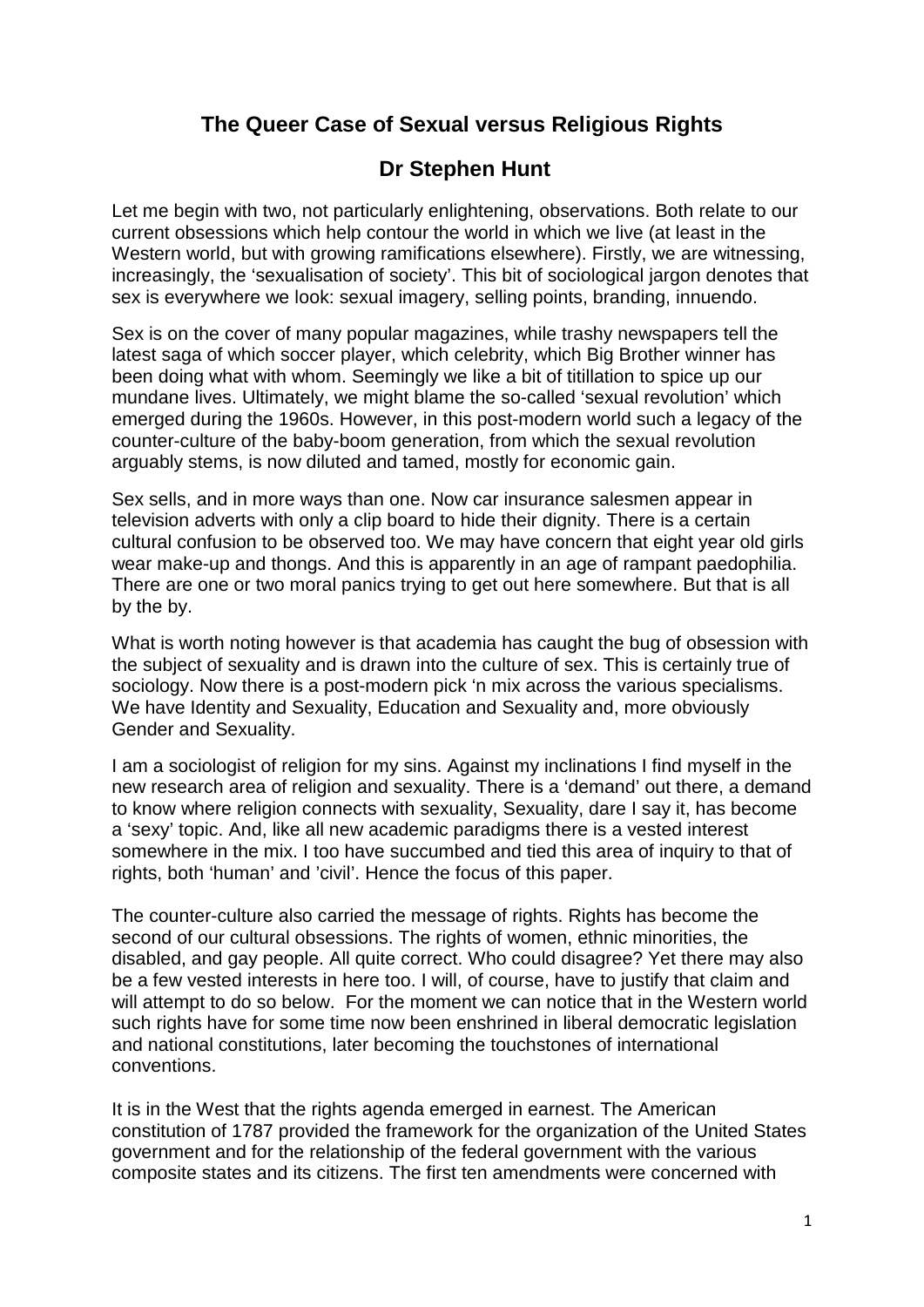# **The Queer Case of Sexual versus Religious Rights**

## **Dr Stephen Hunt**

Let me begin with two, not particularly enlightening, observations. Both relate to our current obsessions which help contour the world in which we live (at least in the Western world, but with growing ramifications elsewhere). Firstly, we are witnessing, increasingly, the 'sexualisation of society'. This bit of sociological jargon denotes that sex is everywhere we look: sexual imagery, selling points, branding, innuendo.

Sex is on the cover of many popular magazines, while trashy newspapers tell the latest saga of which soccer player, which celebrity, which Big Brother winner has been doing what with whom. Seemingly we like a bit of titillation to spice up our mundane lives. Ultimately, we might blame the so-called 'sexual revolution' which emerged during the 1960s. However, in this post-modern world such a legacy of the counter-culture of the baby-boom generation, from which the sexual revolution arguably stems, is now diluted and tamed, mostly for economic gain.

Sex sells, and in more ways than one. Now car insurance salesmen appear in television adverts with only a clip board to hide their dignity. There is a certain cultural confusion to be observed too. We may have concern that eight year old girls wear make-up and thongs. And this is apparently in an age of rampant paedophilia. There are one or two moral panics trying to get out here somewhere. But that is all by the by.

What is worth noting however is that academia has caught the bug of obsession with the subject of sexuality and is drawn into the culture of sex. This is certainly true of sociology. Now there is a post-modern pick 'n mix across the various specialisms. We have Identity and Sexuality, Education and Sexuality and, more obviously Gender and Sexuality.

I am a sociologist of religion for my sins. Against my inclinations I find myself in the new research area of religion and sexuality. There is a 'demand' out there, a demand to know where religion connects with sexuality, Sexuality, dare I say it, has become a 'sexy' topic. And, like all new academic paradigms there is a vested interest somewhere in the mix. I too have succumbed and tied this area of inquiry to that of rights, both 'human' and 'civil'. Hence the focus of this paper.

The counter-culture also carried the message of rights. Rights has become the second of our cultural obsessions. The rights of women, ethnic minorities, the disabled, and gay people. All quite correct. Who could disagree? Yet there may also be a few vested interests in here too. I will, of course, have to justify that claim and will attempt to do so below. For the moment we can notice that in the Western world such rights have for some time now been enshrined in liberal democratic legislation and national constitutions, later becoming the touchstones of international conventions.

It is in the West that the rights agenda emerged in earnest. The American constitution of 1787 provided the framework for the organization of the [United States](http://en.wikipedia.org/wiki/Federal_government_of_the_United_States)  [government](http://en.wikipedia.org/wiki/Federal_government_of_the_United_States) and for the relationship of the federal government with the various composite states and its citizens. The first ten amendments were concerned with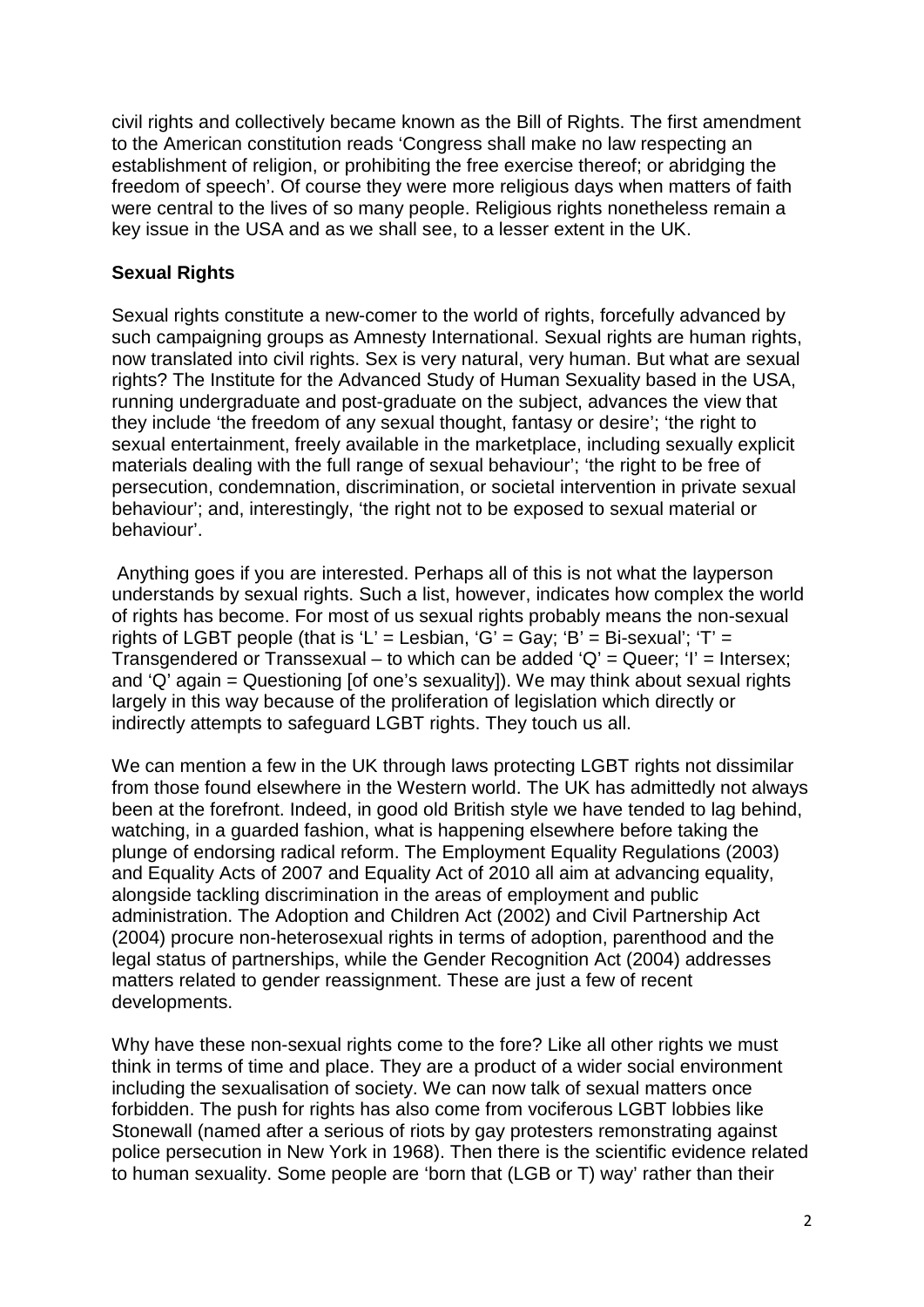civil rights and collectively became known as the Bill of Rights. The first amendment to the American constitution reads 'Congress shall make no law respecting an establishment of religion, or prohibiting the free exercise thereof; or abridging the freedom of speech'. Of course they were more religious days when matters of faith were central to the lives of so many people. Religious rights nonetheless remain a key issue in the USA and as we shall see, to a lesser extent in the UK.

#### **Sexual Rights**

Sexual rights constitute a new-comer to the world of rights, forcefully advanced by such campaigning groups as Amnesty International. Sexual rights are human rights, now translated into civil rights. Sex is very natural, very human. But what are sexual rights? The Institute for the Advanced Study of Human Sexuality based in the USA, running undergraduate and post-graduate on the subject, advances the view that they include 'the freedom of any sexual thought, fantasy or desire'; 'the right to sexual entertainment, freely available in the marketplace, including sexually explicit materials dealing with the full range of sexual behaviour'; 'the right to be free of persecution, condemnation, discrimination, or societal intervention in private sexual behaviour'; and, interestingly, 'the right not to be exposed to sexual material or behaviour'.

Anything goes if you are interested. Perhaps all of this is not what the layperson understands by sexual rights. Such a list, however, indicates how complex the world of rights has become. For most of us sexual rights probably means the non-sexual rights of LGBT people (that is 'L' = Lesbian, 'G' = Gay; 'B' = Bi-sexual'; 'T' = Transgendered or Transsexual – to which can be added ' $Q' = Q$ ueer; 'I' = Intersex; and 'Q' again = Questioning [of one's sexuality]). We may think about sexual rights largely in this way because of the proliferation of legislation which directly or indirectly attempts to safeguard LGBT rights. They touch us all.

We can mention a few in the UK through laws protecting LGBT rights not dissimilar from those found elsewhere in the Western world. The UK has admittedly not always been at the forefront. Indeed, in good old British style we have tended to lag behind, watching, in a guarded fashion, what is happening elsewhere before taking the plunge of endorsing radical reform. The Employment Equality Regulations (2003) and Equality Acts of 2007 and Equality Act of 2010 all aim at advancing equality, alongside tackling discrimination in the areas of employment and public administration. The Adoption and Children Act (2002) and Civil Partnership Act (2004) procure non-heterosexual rights in terms of adoption, parenthood and the legal status of partnerships, while the Gender Recognition Act (2004) addresses matters related to gender reassignment. These are just a few of recent developments.

Why have these non-sexual rights come to the fore? Like all other rights we must think in terms of time and place. They are a product of a wider social environment including the sexualisation of society. We can now talk of sexual matters once forbidden. The push for rights has also come from vociferous LGBT lobbies like Stonewall (named after a serious of riots by gay protesters remonstrating against police persecution in New York in 1968). Then there is the scientific evidence related to human sexuality. Some people are 'born that (LGB or T) way' rather than their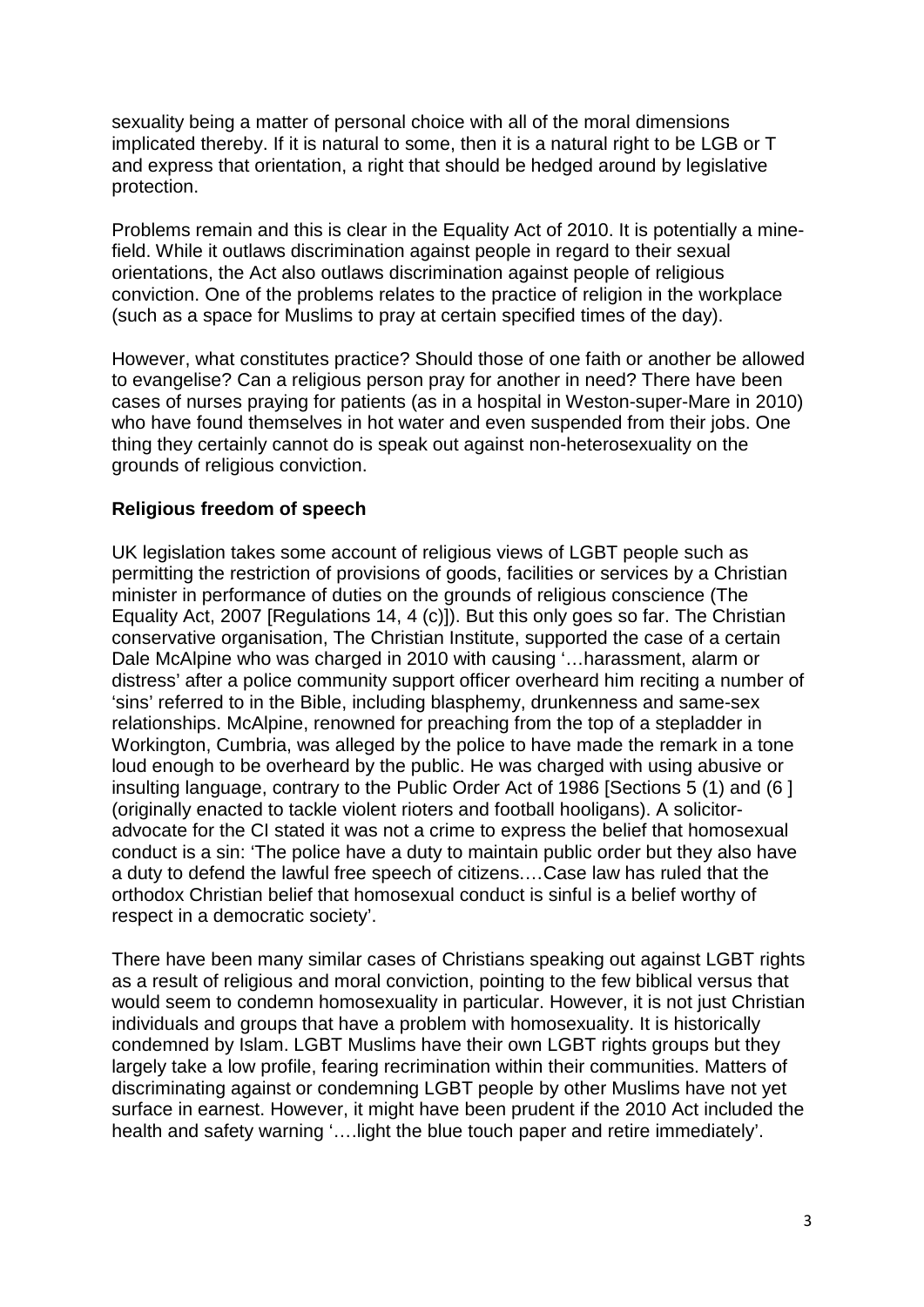sexuality being a matter of personal choice with all of the moral dimensions implicated thereby. If it is natural to some, then it is a natural right to be LGB or T and express that orientation, a right that should be hedged around by legislative protection.

Problems remain and this is clear in the Equality Act of 2010. It is potentially a minefield. While it outlaws discrimination against people in regard to their sexual orientations, the Act also outlaws discrimination against people of religious conviction. One of the problems relates to the practice of religion in the workplace (such as a space for Muslims to pray at certain specified times of the day).

However, what constitutes practice? Should those of one faith or another be allowed to evangelise? Can a religious person pray for another in need? There have been cases of nurses praying for patients (as in a hospital in Weston-super-Mare in 2010) who have found themselves in hot water and even suspended from their jobs. One thing they certainly cannot do is speak out against non-heterosexuality on the grounds of religious conviction.

#### **Religious freedom of speech**

UK legislation takes some account of religious views of LGBT people such as permitting the restriction of provisions of goods, facilities or services by a Christian minister in performance of duties on the grounds of religious conscience (The Equality Act, 2007 [Regulations 14, 4 (c)]). But this only goes so far. The Christian conservative organisation, The Christian Institute, supported the case of a certain Dale McAlpine who was charged in 2010 with causing '…harassment, alarm or distress' after a police community support officer overheard him reciting a number of 'sins' referred to in the Bible, including blasphemy, drunkenness and same-sex relationships. McAlpine, renowned for preaching from the top of a stepladder in Workington, Cumbria, was alleged by the police to have made the remark in a tone loud enough to be overheard by the public. He was charged with using abusive or insulting language, contrary to the Public Order Act of 1986 [Sections 5 (1) and (6 ] (originally enacted to tackle violent rioters and football hooligans). A solicitoradvocate for the CI stated it was not a crime to express the belief that homosexual conduct is a sin: 'The police have a duty to maintain public order but they also have a duty to defend the lawful free speech of citizens.…Case law has ruled that the orthodox Christian belief that homosexual conduct is sinful is a belief worthy of respect in a democratic society'.

There have been many similar cases of Christians speaking out against LGBT rights as a result of religious and moral conviction, pointing to the few biblical versus that would seem to condemn homosexuality in particular. However, it is not just Christian individuals and groups that have a problem with homosexuality. It is historically condemned by Islam. LGBT Muslims have their own LGBT rights groups but they largely take a low profile, fearing recrimination within their communities. Matters of discriminating against or condemning LGBT people by other Muslims have not yet surface in earnest. However, it might have been prudent if the 2010 Act included the health and safety warning '….light the blue touch paper and retire immediately'.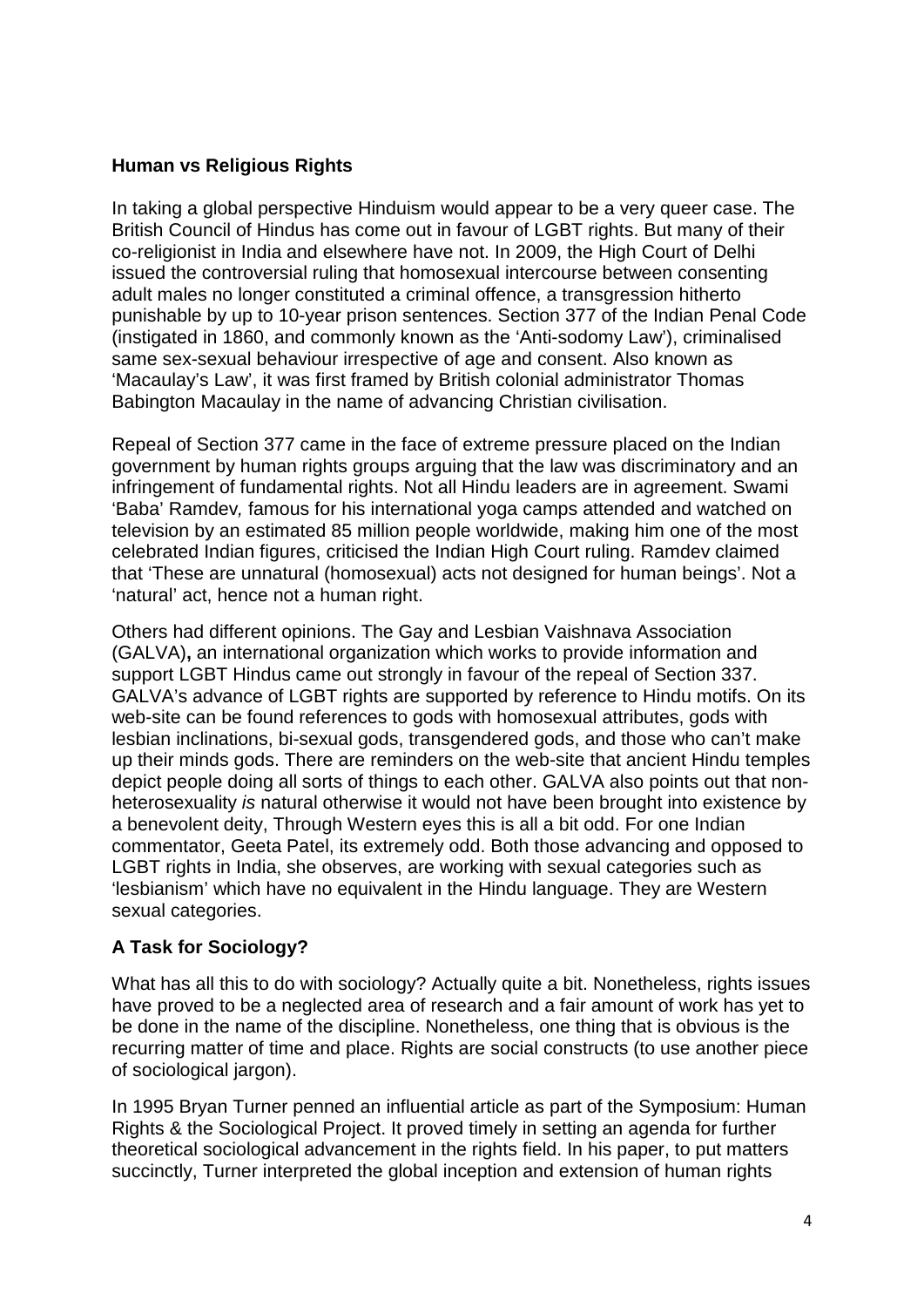### **Human vs Religious Rights**

In taking a global perspective Hinduism would appear to be a very queer case. The British Council of Hindus has come out in favour of LGBT rights. But many of their co-religionist in India and elsewhere have not. In 2009, the High Court of Delhi issued the controversial ruling that homosexual intercourse between consenting adult males no longer constituted a criminal offence, a transgression hitherto punishable by up to 10-year prison sentences. Section 377 of the Indian Penal Code (instigated in 1860, and commonly known as the 'Anti-sodomy Law'), criminalised same sex-sexual behaviour irrespective of age and consent. Also known as 'Macaulay's Law', it was first framed by British colonial administrator Thomas Babington Macaulay in the name of advancing Christian civilisation.

Repeal of Section 377 came in the face of extreme pressure placed on the Indian government by human rights groups arguing that the law was discriminatory and an infringement of fundamental rights. Not all Hindu leaders are in agreement. Swami 'Baba' Ramdev*,* famous for his international yoga camps attended and watched on television by an estimated 85 million people worldwide, making him one of the most celebrated Indian figures, criticised the Indian High Court ruling. Ramdev claimed that 'These are unnatural (homosexual) acts not designed for human beings'. Not a 'natural' act, hence not a human right.

Others had different opinions. The Gay and Lesbian Vaishnava Association (GALVA)**,** an international organization which works to provide information and support LGBT Hindus came out strongly in favour of the repeal of Section 337. GALVA's advance of LGBT rights are supported by reference to Hindu motifs. On its web-site can be found references to gods with homosexual attributes, gods with lesbian inclinations, bi-sexual gods, transgendered gods, and those who can't make up their minds gods. There are reminders on the web-site that ancient Hindu temples depict people doing all sorts of things to each other. GALVA also points out that nonheterosexuality *is* natural otherwise it would not have been brought into existence by a benevolent deity, Through Western eyes this is all a bit odd. For one Indian commentator, Geeta Patel, its extremely odd. Both those advancing and opposed to LGBT rights in India, she observes, are working with sexual categories such as 'lesbianism' which have no equivalent in the Hindu language. They are Western sexual categories.

### **A Task for Sociology?**

What has all this to do with sociology? Actually quite a bit. Nonetheless, rights issues have proved to be a neglected area of research and a fair amount of work has yet to be done in the name of the discipline. Nonetheless, one thing that is obvious is the recurring matter of time and place. Rights are social constructs (to use another piece of sociological jargon).

In 1995 Bryan Turner penned an influential article as part of the Symposium: Human Rights & the Sociological Project. It proved timely in setting an agenda for further theoretical sociological advancement in the rights field. In his paper, to put matters succinctly, Turner interpreted the global inception and extension of human rights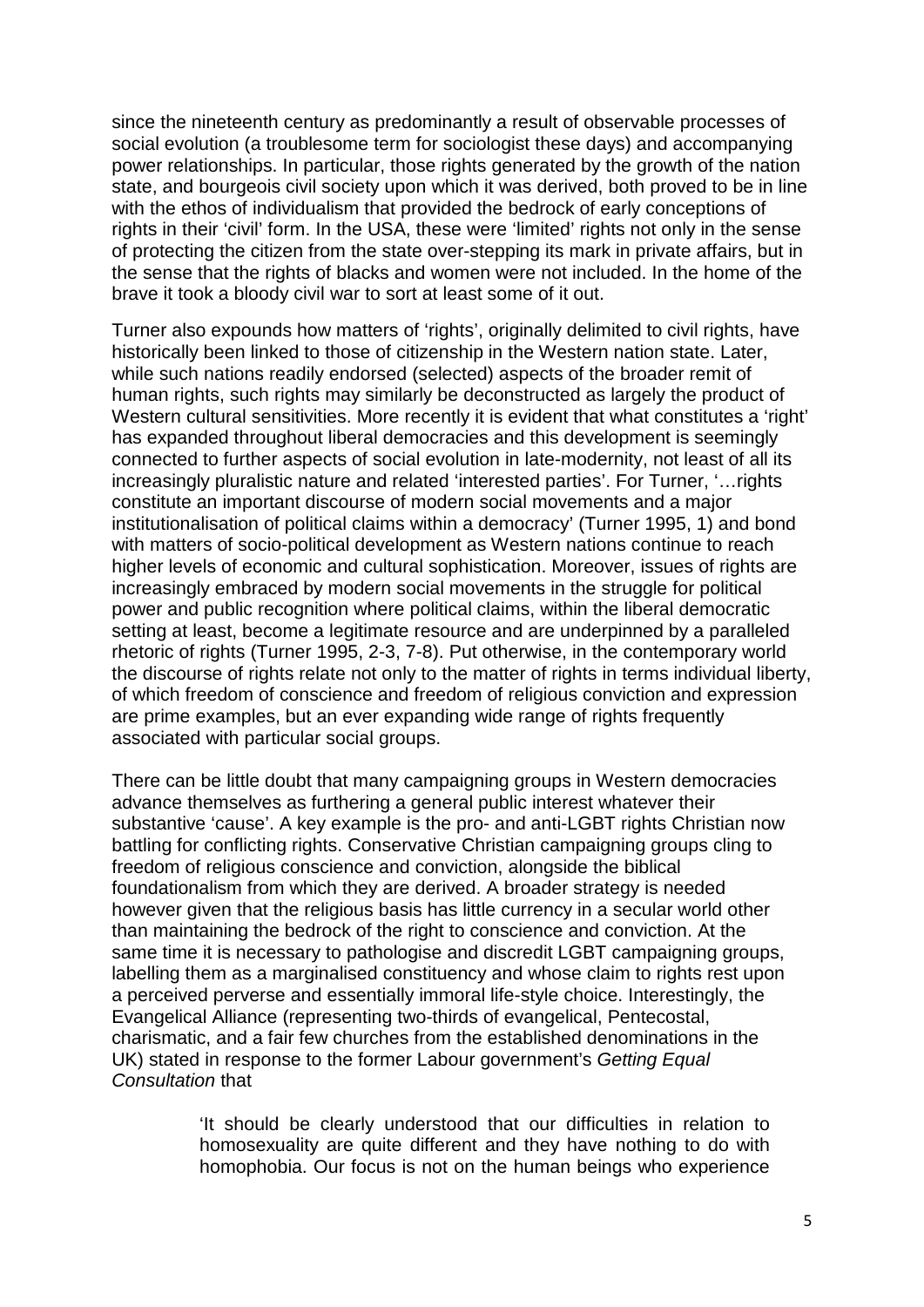since the nineteenth century as predominantly a result of observable processes of social evolution (a troublesome term for sociologist these days) and accompanying power relationships. In particular, those rights generated by the growth of the nation state, and bourgeois civil society upon which it was derived, both proved to be in line with the ethos of individualism that provided the bedrock of early conceptions of rights in their 'civil' form. In the USA, these were 'limited' rights not only in the sense of protecting the citizen from the state over-stepping its mark in private affairs, but in the sense that the rights of blacks and women were not included. In the home of the brave it took a bloody civil war to sort at least some of it out.

Turner also expounds how matters of 'rights', originally delimited to civil rights, have historically been linked to those of citizenship in the Western nation state. Later, while such nations readily endorsed (selected) aspects of the broader remit of human rights, such rights may similarly be deconstructed as largely the product of Western cultural sensitivities. More recently it is evident that what constitutes a 'right' has expanded throughout liberal democracies and this development is seemingly connected to further aspects of social evolution in late-modernity, not least of all its increasingly pluralistic nature and related 'interested parties'. For Turner, '…rights constitute an important discourse of modern social movements and a major institutionalisation of political claims within a democracy' (Turner 1995, 1) and bond with matters of socio-political development as Western nations continue to reach higher levels of economic and cultural sophistication. Moreover, issues of rights are increasingly embraced by modern social movements in the struggle for political power and public recognition where political claims, within the liberal democratic setting at least, become a legitimate resource and are underpinned by a paralleled rhetoric of rights (Turner 1995, 2-3, 7-8). Put otherwise, in the contemporary world the discourse of rights relate not only to the matter of rights in terms individual liberty, of which freedom of conscience and freedom of religious conviction and expression are prime examples, but an ever expanding wide range of rights frequently associated with particular social groups.

There can be little doubt that many campaigning groups in Western democracies advance themselves as furthering a general public interest whatever their substantive 'cause'. A key example is the pro- and anti-LGBT rights Christian now battling for conflicting rights. Conservative Christian campaigning groups cling to freedom of religious conscience and conviction, alongside the biblical foundationalism from which they are derived. A broader strategy is needed however given that the religious basis has little currency in a secular world other than maintaining the bedrock of the right to conscience and conviction. At the same time it is necessary to pathologise and discredit LGBT campaigning groups, labelling them as a marginalised constituency and whose claim to rights rest upon a perceived perverse and essentially immoral life-style choice. Interestingly, the Evangelical Alliance (representing two-thirds of evangelical, Pentecostal, charismatic, and a fair few churches from the established denominations in the UK) stated in response to the former Labour government's *Getting Equal Consultation* that

> 'It should be clearly understood that our difficulties in relation to homosexuality are quite different and they have nothing to do with homophobia. Our focus is not on the human beings who experience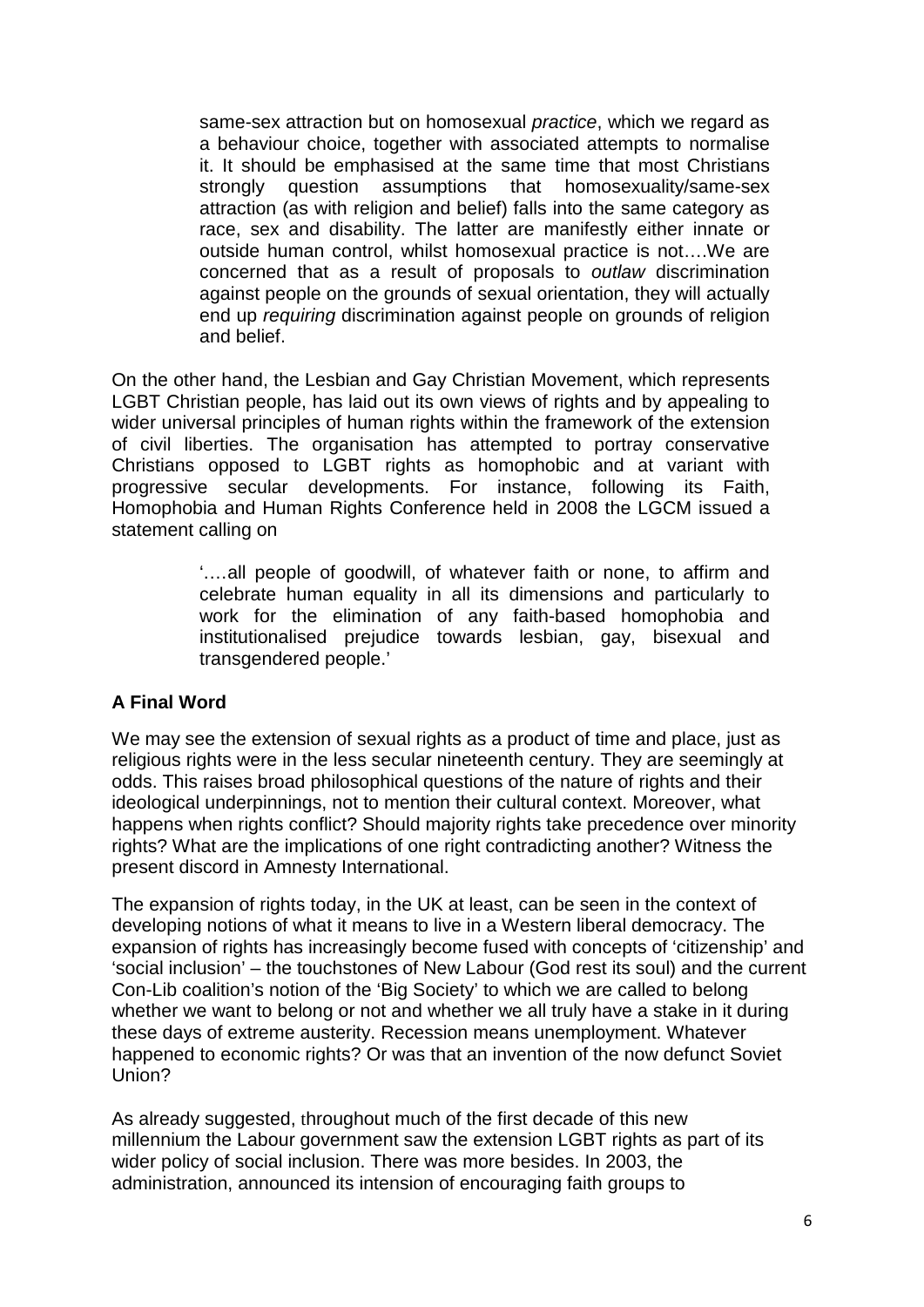same-sex attraction but on homosexual *practice*, which we regard as a behaviour choice, together with associated attempts to normalise it. It should be emphasised at the same time that most Christians strongly question assumptions that homosexuality/same-sex attraction (as with religion and belief) falls into the same category as race, sex and disability. The latter are manifestly either innate or outside human control, whilst homosexual practice is not….We are concerned that as a result of proposals to *outlaw* discrimination against people on the grounds of sexual orientation, they will actually end up *requiring* discrimination against people on grounds of religion and belief.

On the other hand, the Lesbian and Gay Christian Movement, which represents LGBT Christian people, has laid out its own views of rights and by appealing to wider universal principles of human rights within the framework of the extension of civil liberties. The organisation has attempted to portray conservative Christians opposed to LGBT rights as homophobic and at variant with progressive secular developments. For instance, following its Faith, Homophobia and Human Rights Conference held in 2008 the LGCM issued a statement calling on

> '.…all people of goodwill, of whatever faith or none, to affirm and celebrate human equality in all its dimensions and particularly to work for the elimination of any faith-based homophobia and institutionalised prejudice towards lesbian, gay, bisexual and transgendered people.'

#### **A Final Word**

We may see the extension of sexual rights as a product of time and place, just as religious rights were in the less secular nineteenth century. They are seemingly at odds. This raises broad philosophical questions of the nature of rights and their ideological underpinnings, not to mention their cultural context. Moreover, what happens when rights conflict? Should majority rights take precedence over minority rights? What are the implications of one right contradicting another? Witness the present discord in Amnesty International.

The expansion of rights today, in the UK at least, can be seen in the context of developing notions of what it means to live in a Western liberal democracy. The expansion of rights has increasingly become fused with concepts of 'citizenship' and 'social inclusion' – the touchstones of New Labour (God rest its soul) and the current Con-Lib coalition's notion of the 'Big Society' to which we are called to belong whether we want to belong or not and whether we all truly have a stake in it during these days of extreme austerity. Recession means unemployment. Whatever happened to economic rights? Or was that an invention of the now defunct Soviet Union?

As already suggested, throughout much of the first decade of this new millennium the Labour government saw the extension LGBT rights as part of its wider policy of social inclusion. There was more besides. In 2003, the administration, announced its intension of encouraging faith groups to